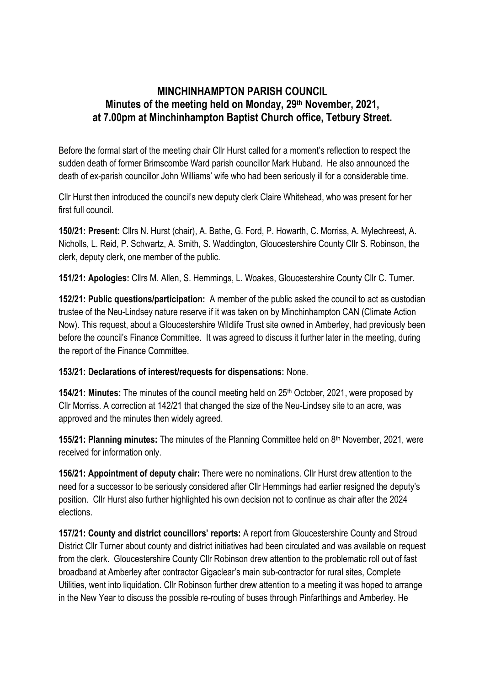## **MINCHINHAMPTON PARISH COUNCIL Minutes of the meeting held on Monday, 29th November, 2021, at 7.00pm at Minchinhampton Baptist Church office, Tetbury Street.**

Before the formal start of the meeting chair Cllr Hurst called for a moment's reflection to respect the sudden death of former Brimscombe Ward parish councillor Mark Huband. He also announced the death of ex-parish councillor John Williams' wife who had been seriously ill for a considerable time.

Cllr Hurst then introduced the council's new deputy clerk Claire Whitehead, who was present for her first full council.

**150/21: Present:** Cllrs N. Hurst (chair), A. Bathe, G. Ford, P. Howarth, C. Morriss, A. Mylechreest, A. Nicholls, L. Reid, P. Schwartz, A. Smith, S. Waddington, Gloucestershire County Cllr S. Robinson, the clerk, deputy clerk, one member of the public.

**151/21: Apologies:** Cllrs M. Allen, S. Hemmings, L. Woakes, Gloucestershire County Cllr C. Turner.

**152/21: Public questions/participation:** A member of the public asked the council to act as custodian trustee of the Neu-Lindsey nature reserve if it was taken on by Minchinhampton CAN (Climate Action Now). This request, about a Gloucestershire Wildlife Trust site owned in Amberley, had previously been before the council's Finance Committee. It was agreed to discuss it further later in the meeting, during the report of the Finance Committee.

## **153/21: Declarations of interest/requests for dispensations:** None.

**154/21: Minutes:** The minutes of the council meeting held on 25<sup>th</sup> October, 2021, were proposed by Cllr Morriss. A correction at 142/21 that changed the size of the Neu-Lindsey site to an acre, was approved and the minutes then widely agreed.

**155/21: Planning minutes:** The minutes of the Planning Committee held on 8<sup>th</sup> November, 2021, were received for information only.

**156/21: Appointment of deputy chair:** There were no nominations. Cllr Hurst drew attention to the need for a successor to be seriously considered after Cllr Hemmings had earlier resigned the deputy's position. Cllr Hurst also further highlighted his own decision not to continue as chair after the 2024 elections.

**157/21: County and district councillors' reports:** A report from Gloucestershire County and Stroud District Cllr Turner about county and district initiatives had been circulated and was available on request from the clerk. Gloucestershire County Cllr Robinson drew attention to the problematic roll out of fast broadband at Amberley after contractor Gigaclear's main sub-contractor for rural sites, Complete Utilities, went into liquidation. Cllr Robinson further drew attention to a meeting it was hoped to arrange in the New Year to discuss the possible re-routing of buses through Pinfarthings and Amberley. He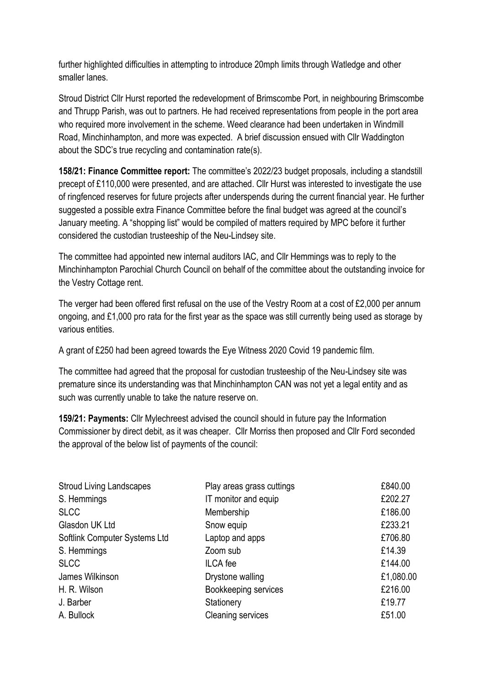further highlighted difficulties in attempting to introduce 20mph limits through Watledge and other smaller lanes.

Stroud District Cllr Hurst reported the redevelopment of Brimscombe Port, in neighbouring Brimscombe and Thrupp Parish, was out to partners. He had received representations from people in the port area who required more involvement in the scheme. Weed clearance had been undertaken in Windmill Road, Minchinhampton, and more was expected. A brief discussion ensued with Cllr Waddington about the SDC's true recycling and contamination rate(s).

**158/21: Finance Committee report:** The committee's 2022/23 budget proposals, including a standstill precept of £110,000 were presented, and are attached. Cllr Hurst was interested to investigate the use of ringfenced reserves for future projects after underspends during the current financial year. He further suggested a possible extra Finance Committee before the final budget was agreed at the council's January meeting. A "shopping list" would be compiled of matters required by MPC before it further considered the custodian trusteeship of the Neu-Lindsey site.

The committee had appointed new internal auditors IAC, and Cllr Hemmings was to reply to the Minchinhampton Parochial Church Council on behalf of the committee about the outstanding invoice for the Vestry Cottage rent.

The verger had been offered first refusal on the use of the Vestry Room at a cost of £2,000 per annum ongoing, and £1,000 pro rata for the first year as the space was still currently being used as storage by various entities.

A grant of £250 had been agreed towards the Eye Witness 2020 Covid 19 pandemic film.

The committee had agreed that the proposal for custodian trusteeship of the Neu-Lindsey site was premature since its understanding was that Minchinhampton CAN was not yet a legal entity and as such was currently unable to take the nature reserve on.

**159/21: Payments:** Cllr Mylechreest advised the council should in future pay the Information Commissioner by direct debit, as it was cheaper. Cllr Morriss then proposed and Cllr Ford seconded the approval of the below list of payments of the council:

| <b>Stroud Living Landscapes</b> | Play areas grass cuttings | £840.00   |
|---------------------------------|---------------------------|-----------|
| S. Hemmings                     | IT monitor and equip      | £202.27   |
| <b>SLCC</b>                     | Membership                | £186.00   |
| Glasdon UK Ltd                  | Snow equip                | £233.21   |
| Softlink Computer Systems Ltd   | Laptop and apps           | £706.80   |
| S. Hemmings                     | Zoom sub                  | £14.39    |
| <b>SLCC</b>                     | <b>ILCA</b> fee           | £144.00   |
| James Wilkinson                 | Drystone walling          | £1,080.00 |
| H. R. Wilson                    | Bookkeeping services      | £216.00   |
| J. Barber                       | Stationery                | £19.77    |
| A. Bullock                      | <b>Cleaning services</b>  | £51.00    |